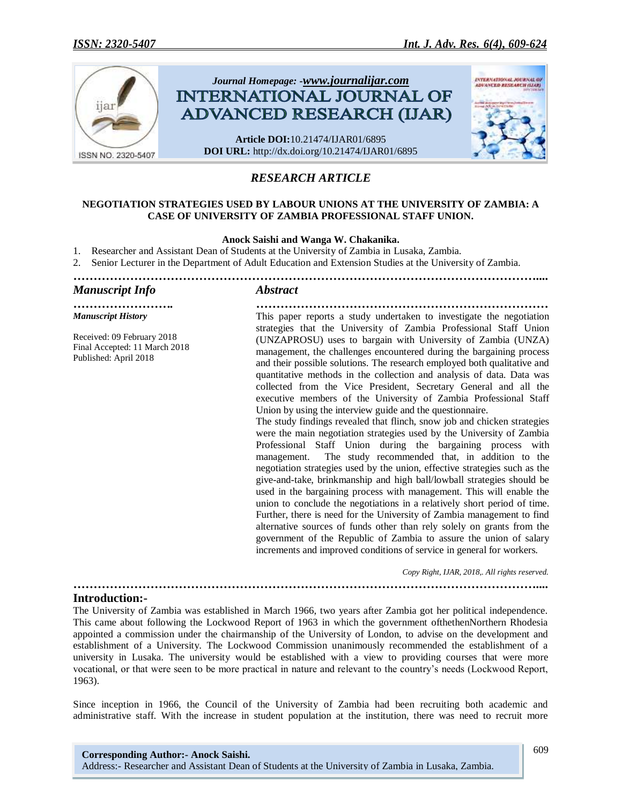

# *RESEARCH ARTICLE*

## **NEGOTIATION STRATEGIES USED BY LABOUR UNIONS AT THE UNIVERSITY OF ZAMBIA: A CASE OF UNIVERSITY OF ZAMBIA PROFESSIONAL STAFF UNION.**

#### **Anock Saishi and Wanga W. Chakanika.**

- 1. Researcher and Assistant Dean of Students at the University of Zambia in Lusaka, Zambia.
- 2. Senior Lecturer in the Department of Adult Education and Extension Studies at the University of Zambia.
- *……………………………………………………………………………………………………....*

#### *Manuscript Info Abstract*

*Manuscript History*

Received: 09 February 2018 Final Accepted: 11 March 2018 Published: April 2018

*……………………. ………………………………………………………………* This paper reports a study undertaken to investigate the negotiation strategies that the University of Zambia Professional Staff Union (UNZAPROSU) uses to bargain with University of Zambia (UNZA) management, the challenges encountered during the bargaining process and their possible solutions. The research employed both qualitative and quantitative methods in the collection and analysis of data. Data was collected from the Vice President, Secretary General and all the executive members of the University of Zambia Professional Staff Union by using the interview guide and the questionnaire.

The study findings revealed that flinch, snow job and chicken strategies were the main negotiation strategies used by the University of Zambia Professional Staff Union during the bargaining process with management. The study recommended that, in addition to the negotiation strategies used by the union, effective strategies such as the give-and-take, brinkmanship and high ball/lowball strategies should be used in the bargaining process with management. This will enable the union to conclude the negotiations in a relatively short period of time. Further, there is need for the University of Zambia management to find alternative sources of funds other than rely solely on grants from the government of the Republic of Zambia to assure the union of salary increments and improved conditions of service in general for workers.

 *Copy Right, IJAR, 2018,. All rights reserved.*

## **Introduction:-**

The University of Zambia was established in March 1966, two years after Zambia got her political independence. This came about following the Lockwood Report of 1963 in which the government ofthethenNorthern Rhodesia appointed a commission under the chairmanship of the University of London, to advise on the development and establishment of a University. The Lockwood Commission unanimously recommended the establishment of a university in Lusaka. The university would be established with a view to providing courses that were more vocational, or that were seen to be more practical in nature and relevant to the country's needs (Lockwood Report, 1963).

*……………………………………………………………………………………………………....*

Since inception in 1966, the Council of the University of Zambia had been recruiting both academic and administrative staff. With the increase in student population at the institution, there was need to recruit more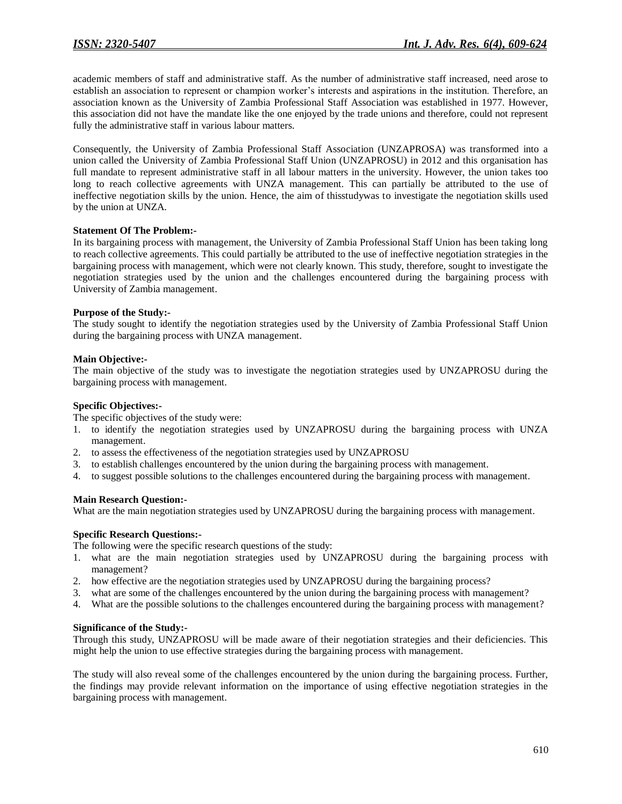academic members of staff and administrative staff. As the number of administrative staff increased, need arose to establish an association to represent or champion worker's interests and aspirations in the institution. Therefore, an association known as the University of Zambia Professional Staff Association was established in 1977. However, this association did not have the mandate like the one enjoyed by the trade unions and therefore, could not represent fully the administrative staff in various labour matters.

Consequently, the University of Zambia Professional Staff Association (UNZAPROSA) was transformed into a union called the University of Zambia Professional Staff Union (UNZAPROSU) in 2012 and this organisation has full mandate to represent administrative staff in all labour matters in the university. However, the union takes too long to reach collective agreements with UNZA management. This can partially be attributed to the use of ineffective negotiation skills by the union. Hence, the aim of thisstudywas to investigate the negotiation skills used by the union at UNZA.

#### **Statement Of The Problem:-**

In its bargaining process with management, the University of Zambia Professional Staff Union has been taking long to reach collective agreements. This could partially be attributed to the use of ineffective negotiation strategies in the bargaining process with management, which were not clearly known. This study, therefore, sought to investigate the negotiation strategies used by the union and the challenges encountered during the bargaining process with University of Zambia management.

#### **Purpose of the Study:-**

The study sought to identify the negotiation strategies used by the University of Zambia Professional Staff Union during the bargaining process with UNZA management.

#### **Main Objective:-**

The main objective of the study was to investigate the negotiation strategies used by UNZAPROSU during the bargaining process with management.

#### **Specific Objectives:-**

The specific objectives of the study were:

- 1. to identify the negotiation strategies used by UNZAPROSU during the bargaining process with UNZA management.
- 2. to assess the effectiveness of the negotiation strategies used by UNZAPROSU
- 3. to establish challenges encountered by the union during the bargaining process with management.
- 4. to suggest possible solutions to the challenges encountered during the bargaining process with management.

## **Main Research Question:-**

What are the main negotiation strategies used by UNZAPROSU during the bargaining process with management.

## **Specific Research Questions:-**

The following were the specific research questions of the study:

- 1. what are the main negotiation strategies used by UNZAPROSU during the bargaining process with management?
- 2. how effective are the negotiation strategies used by UNZAPROSU during the bargaining process?
- 3. what are some of the challenges encountered by the union during the bargaining process with management?
- 4. What are the possible solutions to the challenges encountered during the bargaining process with management?

## **Significance of the Study:-**

Through this study, UNZAPROSU will be made aware of their negotiation strategies and their deficiencies. This might help the union to use effective strategies during the bargaining process with management.

The study will also reveal some of the challenges encountered by the union during the bargaining process. Further, the findings may provide relevant information on the importance of using effective negotiation strategies in the bargaining process with management.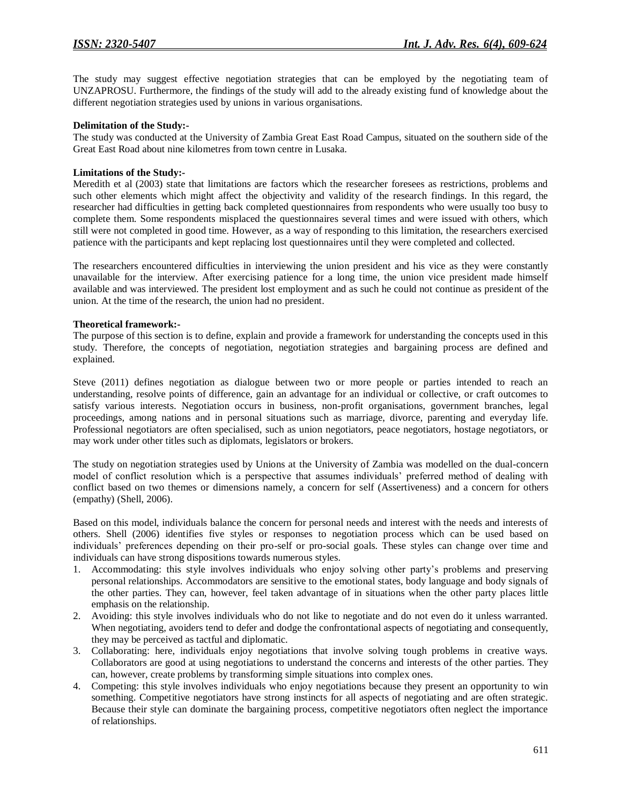The study may suggest effective negotiation strategies that can be employed by the negotiating team of UNZAPROSU. Furthermore, the findings of the study will add to the already existing fund of knowledge about the different negotiation strategies used by unions in various organisations.

## **Delimitation of the Study:-**

The study was conducted at the University of Zambia Great East Road Campus, situated on the southern side of the Great East Road about nine kilometres from town centre in Lusaka.

#### **Limitations of the Study:-**

Meredith et al (2003) state that limitations are factors which the researcher foresees as restrictions, problems and such other elements which might affect the objectivity and validity of the research findings. In this regard, the researcher had difficulties in getting back completed questionnaires from respondents who were usually too busy to complete them. Some respondents misplaced the questionnaires several times and were issued with others, which still were not completed in good time. However, as a way of responding to this limitation, the researchers exercised patience with the participants and kept replacing lost questionnaires until they were completed and collected.

The researchers encountered difficulties in interviewing the union president and his vice as they were constantly unavailable for the interview. After exercising patience for a long time, the union vice president made himself available and was interviewed. The president lost employment and as such he could not continue as president of the union. At the time of the research, the union had no president.

#### **Theoretical framework:-**

The purpose of this section is to define, explain and provide a framework for understanding the concepts used in this study. Therefore, the concepts of negotiation, negotiation strategies and bargaining process are defined and explained.

Steve (2011) defines negotiation as dialogue between two or more people or parties intended to reach an understanding, resolve points of difference, gain an advantage for an individual or collective, or craft outcomes to satisfy various interests. Negotiation occurs in business, non-profit organisations, government branches, legal proceedings, among nations and in personal situations such as marriage, divorce, parenting and everyday life. Professional negotiators are often specialised, such as union negotiators, peace negotiators, hostage negotiators, or may work under other titles such as diplomats, legislators or brokers.

The study on negotiation strategies used by Unions at the University of Zambia was modelled on the dual-concern model of conflict resolution which is a perspective that assumes individuals' preferred method of dealing with conflict based on two themes or dimensions namely, a concern for self (Assertiveness) and a concern for others (empathy) (Shell, 2006).

Based on this model, individuals balance the concern for personal needs and interest with the needs and interests of others. Shell (2006) identifies five styles or responses to negotiation process which can be used based on individuals' preferences depending on their pro-self or pro-social goals. These styles can change over time and individuals can have strong dispositions towards numerous styles.

- 1. Accommodating: this style involves individuals who enjoy solving other party's problems and preserving personal relationships. Accommodators are sensitive to the emotional states, body language and body signals of the other parties. They can, however, feel taken advantage of in situations when the other party places little emphasis on the relationship.
- 2. Avoiding: this style involves individuals who do not like to negotiate and do not even do it unless warranted. When negotiating, avoiders tend to defer and dodge the confrontational aspects of negotiating and consequently, they may be perceived as tactful and diplomatic.
- 3. Collaborating: here, individuals enjoy negotiations that involve solving tough problems in creative ways. Collaborators are good at using negotiations to understand the concerns and interests of the other parties. They can, however, create problems by transforming simple situations into complex ones.
- 4. Competing: this style involves individuals who enjoy negotiations because they present an opportunity to win something. Competitive negotiators have strong instincts for all aspects of negotiating and are often strategic. Because their style can dominate the bargaining process, competitive negotiators often neglect the importance of relationships.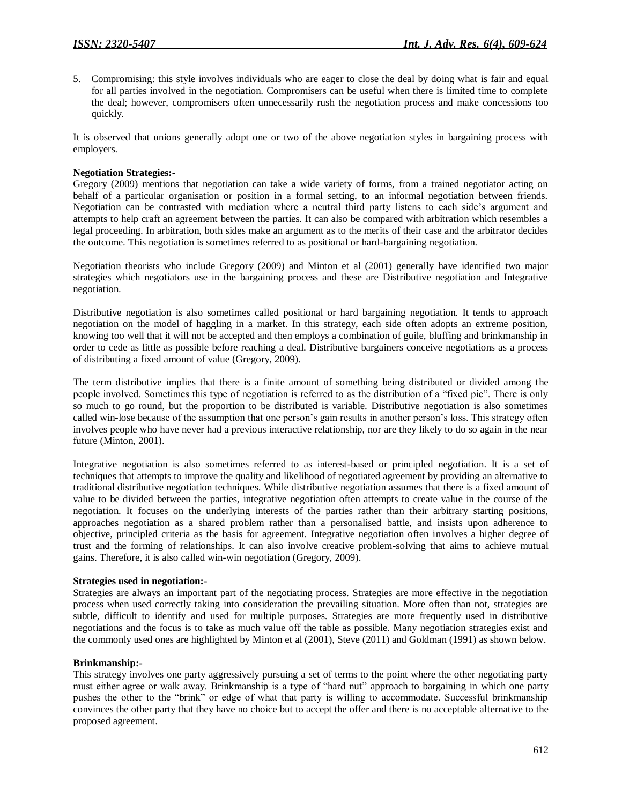5. Compromising: this style involves individuals who are eager to close the deal by doing what is fair and equal for all parties involved in the negotiation. Compromisers can be useful when there is limited time to complete the deal; however, compromisers often unnecessarily rush the negotiation process and make concessions too quickly.

It is observed that unions generally adopt one or two of the above negotiation styles in bargaining process with employers.

## **Negotiation Strategies:-**

Gregory (2009) mentions that negotiation can take a wide variety of forms, from a trained negotiator acting on behalf of a particular organisation or position in a formal setting, to an informal negotiation between friends. Negotiation can be contrasted with mediation where a neutral third party listens to each side's argument and attempts to help craft an agreement between the parties. It can also be compared with arbitration which resembles a legal proceeding. In arbitration, both sides make an argument as to the merits of their case and the arbitrator decides the outcome. This negotiation is sometimes referred to as positional or hard-bargaining negotiation.

Negotiation theorists who include Gregory (2009) and Minton et al (2001) generally have identified two major strategies which negotiators use in the bargaining process and these are Distributive negotiation and Integrative negotiation.

Distributive negotiation is also sometimes called positional or hard bargaining negotiation. It tends to approach negotiation on the model of haggling in a market. In this strategy, each side often adopts an extreme position, knowing too well that it will not be accepted and then employs a combination of guile, bluffing and brinkmanship in order to cede as little as possible before reaching a deal. Distributive bargainers conceive negotiations as a process of distributing a fixed amount of value (Gregory, 2009).

The term distributive implies that there is a finite amount of something being distributed or divided among the people involved. Sometimes this type of negotiation is referred to as the distribution of a "fixed pie". There is only so much to go round, but the proportion to be distributed is variable. Distributive negotiation is also sometimes called win-lose because of the assumption that one person's gain results in another person's loss. This strategy often involves people who have never had a previous interactive relationship, nor are they likely to do so again in the near future (Minton, 2001).

Integrative negotiation is also sometimes referred to as interest-based or principled negotiation. It is a set of techniques that attempts to improve the quality and likelihood of negotiated agreement by providing an alternative to traditional distributive negotiation techniques. While distributive negotiation assumes that there is a fixed amount of value to be divided between the parties, integrative negotiation often attempts to create value in the course of the negotiation. It focuses on the underlying interests of the parties rather than their arbitrary starting positions, approaches negotiation as a shared problem rather than a personalised battle, and insists upon adherence to objective, principled criteria as the basis for agreement. Integrative negotiation often involves a higher degree of trust and the forming of relationships. It can also involve creative problem-solving that aims to achieve mutual gains. Therefore, it is also called win-win negotiation (Gregory, 2009).

#### **Strategies used in negotiation:-**

Strategies are always an important part of the negotiating process. Strategies are more effective in the negotiation process when used correctly taking into consideration the prevailing situation. More often than not, strategies are subtle, difficult to identify and used for multiple purposes. Strategies are more frequently used in distributive negotiations and the focus is to take as much value off the table as possible. Many negotiation strategies exist and the commonly used ones are highlighted by Minton et al (2001), Steve (2011) and Goldman (1991) as shown below.

#### **Brinkmanship:-**

This strategy involves one party aggressively pursuing a set of terms to the point where the other negotiating party must either agree or walk away. Brinkmanship is a type of "hard nut" approach to bargaining in which one party pushes the other to the "brink" or edge of what that party is willing to accommodate. Successful brinkmanship convinces the other party that they have no choice but to accept the offer and there is no acceptable alternative to the proposed agreement.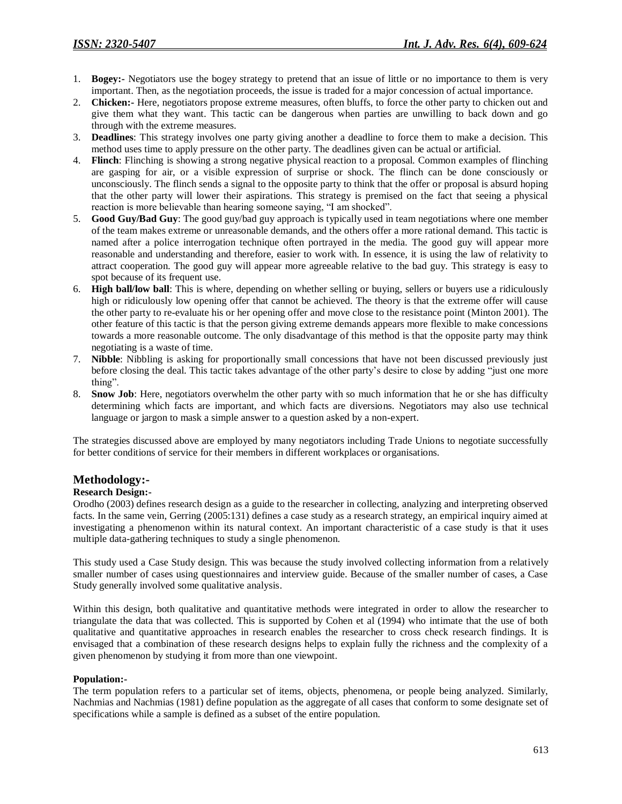- 1. **Bogey:-** Negotiators use the bogey strategy to pretend that an issue of little or no importance to them is very important. Then, as the negotiation proceeds, the issue is traded for a major concession of actual importance.
- 2. **Chicken:-** Here, negotiators propose extreme measures, often bluffs, to force the other party to chicken out and give them what they want. This tactic can be dangerous when parties are unwilling to back down and go through with the extreme measures.
- 3. **Deadlines**: This strategy involves one party giving another a deadline to force them to make a decision. This method uses time to apply pressure on the other party. The deadlines given can be actual or artificial.
- 4. **Flinch**: Flinching is showing a strong negative physical reaction to a proposal. Common examples of flinching are gasping for air, or a visible expression of surprise or shock. The flinch can be done consciously or unconsciously. The flinch sends a signal to the opposite party to think that the offer or proposal is absurd hoping that the other party will lower their aspirations. This strategy is premised on the fact that seeing a physical reaction is more believable than hearing someone saying, "I am shocked".
- 5. **Good Guy/Bad Guy**: The good guy/bad guy approach is typically used in team negotiations where one member of the team makes extreme or unreasonable demands, and the others offer a more rational demand. This tactic is named after a police interrogation technique often portrayed in the media. The good guy will appear more reasonable and understanding and therefore, easier to work with. In essence, it is using the law of relativity to attract cooperation. The good guy will appear more agreeable relative to the bad guy. This strategy is easy to spot because of its frequent use.
- 6. **High ball/low ball**: This is where, depending on whether selling or buying, sellers or buyers use a ridiculously high or ridiculously low opening offer that cannot be achieved. The theory is that the extreme offer will cause the other party to re-evaluate his or her opening offer and move close to the resistance point (Minton 2001). The other feature of this tactic is that the person giving extreme demands appears more flexible to make concessions towards a more reasonable outcome. The only disadvantage of this method is that the opposite party may think negotiating is a waste of time.
- 7. **Nibble**: Nibbling is asking for proportionally small concessions that have not been discussed previously just before closing the deal. This tactic takes advantage of the other party's desire to close by adding "just one more thing".
- 8. **Snow Job**: Here, negotiators overwhelm the other party with so much information that he or she has difficulty determining which facts are important, and which facts are diversions. Negotiators may also use technical language or jargon to mask a simple answer to a question asked by a non-expert.

The strategies discussed above are employed by many negotiators including Trade Unions to negotiate successfully for better conditions of service for their members in different workplaces or organisations.

## **Methodology:-**

## **Research Design:-**

Orodho (2003) defines research design as a guide to the researcher in collecting, analyzing and interpreting observed facts. In the same vein, Gerring (2005:131) defines a case study as a research strategy, an empirical inquiry aimed at investigating a phenomenon within its natural context. An important characteristic of a case study is that it uses multiple data-gathering techniques to study a single phenomenon.

This study used a Case Study design. This was because the study involved collecting information from a relatively smaller number of cases using questionnaires and interview guide. Because of the smaller number of cases, a Case Study generally involved some qualitative analysis.

Within this design, both qualitative and quantitative methods were integrated in order to allow the researcher to triangulate the data that was collected. This is supported by Cohen et al (1994) who intimate that the use of both qualitative and quantitative approaches in research enables the researcher to cross check research findings. It is envisaged that a combination of these research designs helps to explain fully the richness and the complexity of a given phenomenon by studying it from more than one viewpoint.

#### **Population:-**

The term population refers to a particular set of items, objects, phenomena, or people being analyzed. Similarly, Nachmias and Nachmias (1981) define population as the aggregate of all cases that conform to some designate set of specifications while a sample is defined as a subset of the entire population.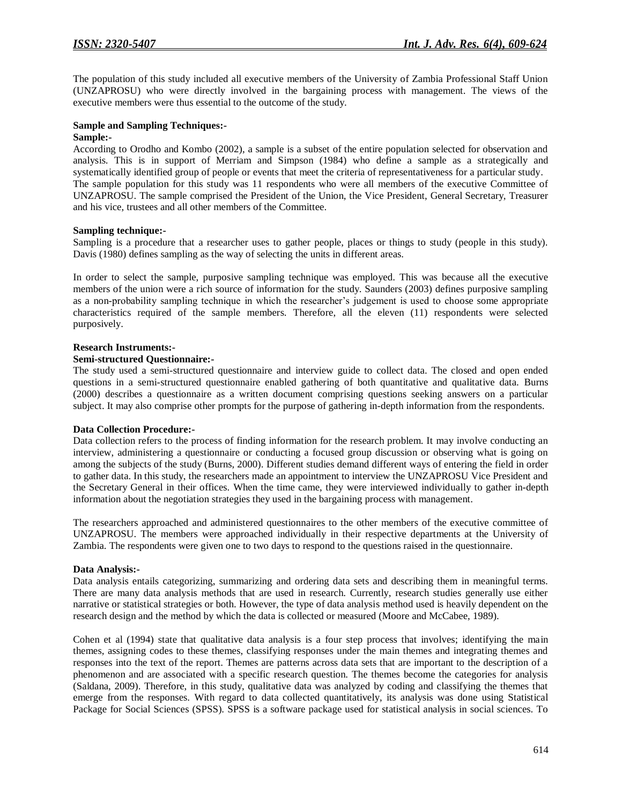The population of this study included all executive members of the University of Zambia Professional Staff Union (UNZAPROSU) who were directly involved in the bargaining process with management. The views of the executive members were thus essential to the outcome of the study.

## **Sample and Sampling Techniques:-**

#### **Sample:-**

According to Orodho and Kombo (2002), a sample is a subset of the entire population selected for observation and analysis. This is in support of Merriam and Simpson (1984) who define a sample as a strategically and systematically identified group of people or events that meet the criteria of representativeness for a particular study. The sample population for this study was 11 respondents who were all members of the executive Committee of UNZAPROSU. The sample comprised the President of the Union, the Vice President, General Secretary, Treasurer and his vice, trustees and all other members of the Committee.

#### **Sampling technique:-**

Sampling is a procedure that a researcher uses to gather people, places or things to study (people in this study). Davis (1980) defines sampling as the way of selecting the units in different areas.

In order to select the sample, purposive sampling technique was employed. This was because all the executive members of the union were a rich source of information for the study. Saunders (2003) defines purposive sampling as a non-probability sampling technique in which the researcher's judgement is used to choose some appropriate characteristics required of the sample members. Therefore, all the eleven (11) respondents were selected purposively.

#### **Research Instruments:-**

#### **Semi-structured Questionnaire:-**

The study used a semi-structured questionnaire and interview guide to collect data. The closed and open ended questions in a semi-structured questionnaire enabled gathering of both quantitative and qualitative data. Burns (2000) describes a questionnaire as a written document comprising questions seeking answers on a particular subject. It may also comprise other prompts for the purpose of gathering in-depth information from the respondents.

#### **Data Collection Procedure:-**

Data collection refers to the process of finding information for the research problem. It may involve conducting an interview, administering a questionnaire or conducting a focused group discussion or observing what is going on among the subjects of the study (Burns, 2000). Different studies demand different ways of entering the field in order to gather data. In this study, the researchers made an appointment to interview the UNZAPROSU Vice President and the Secretary General in their offices. When the time came, they were interviewed individually to gather in-depth information about the negotiation strategies they used in the bargaining process with management.

The researchers approached and administered questionnaires to the other members of the executive committee of UNZAPROSU. The members were approached individually in their respective departments at the University of Zambia. The respondents were given one to two days to respond to the questions raised in the questionnaire.

## **Data Analysis:-**

Data analysis entails categorizing, summarizing and ordering data sets and describing them in meaningful terms. There are many data analysis methods that are used in research. Currently, research studies generally use either narrative or statistical strategies or both. However, the type of data analysis method used is heavily dependent on the research design and the method by which the data is collected or measured (Moore and McCabee, 1989).

Cohen et al (1994) state that qualitative data analysis is a four step process that involves; identifying the main themes, assigning codes to these themes, classifying responses under the main themes and integrating themes and responses into the text of the report. Themes are patterns across data sets that are important to the description of a phenomenon and are associated with a specific research question. The themes become the categories for analysis (Saldana, 2009). Therefore, in this study, qualitative data was analyzed by coding and classifying the themes that emerge from the responses. With regard to data collected quantitatively, its analysis was done using Statistical Package for Social Sciences (SPSS). SPSS is a software package used for statistical analysis in social sciences. To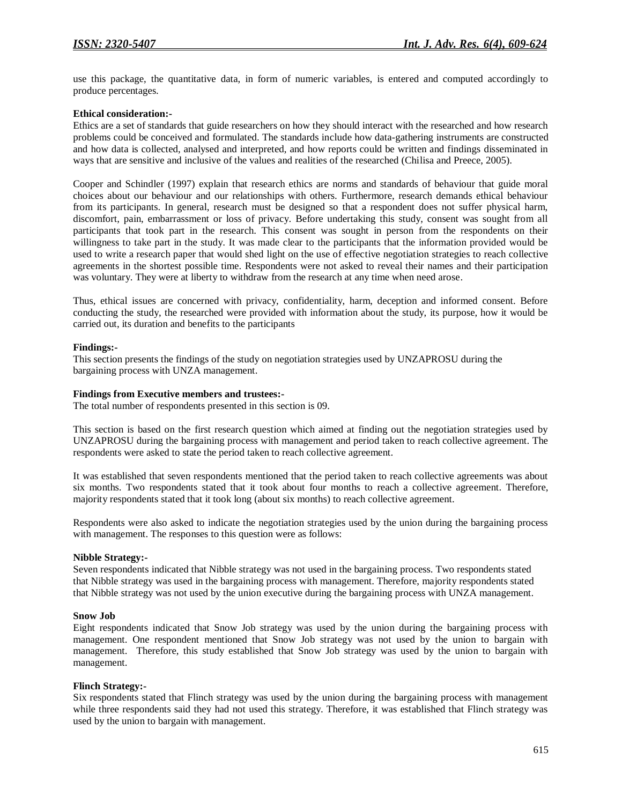use this package, the quantitative data, in form of numeric variables, is entered and computed accordingly to produce percentages.

## **Ethical consideration:-**

Ethics are a set of standards that guide researchers on how they should interact with the researched and how research problems could be conceived and formulated. The standards include how data-gathering instruments are constructed and how data is collected, analysed and interpreted, and how reports could be written and findings disseminated in ways that are sensitive and inclusive of the values and realities of the researched (Chilisa and Preece, 2005).

Cooper and Schindler (1997) explain that research ethics are norms and standards of behaviour that guide moral choices about our behaviour and our relationships with others. Furthermore, research demands ethical behaviour from its participants. In general, research must be designed so that a respondent does not suffer physical harm, discomfort, pain, embarrassment or loss of privacy. Before undertaking this study, consent was sought from all participants that took part in the research. This consent was sought in person from the respondents on their willingness to take part in the study. It was made clear to the participants that the information provided would be used to write a research paper that would shed light on the use of effective negotiation strategies to reach collective agreements in the shortest possible time. Respondents were not asked to reveal their names and their participation was voluntary. They were at liberty to withdraw from the research at any time when need arose.

Thus, ethical issues are concerned with privacy, confidentiality, harm, deception and informed consent. Before conducting the study, the researched were provided with information about the study, its purpose, how it would be carried out, its duration and benefits to the participants

#### **Findings:-**

This section presents the findings of the study on negotiation strategies used by UNZAPROSU during the bargaining process with UNZA management.

#### **Findings from Executive members and trustees:-**

The total number of respondents presented in this section is 09.

This section is based on the first research question which aimed at finding out the negotiation strategies used by UNZAPROSU during the bargaining process with management and period taken to reach collective agreement. The respondents were asked to state the period taken to reach collective agreement.

It was established that seven respondents mentioned that the period taken to reach collective agreements was about six months. Two respondents stated that it took about four months to reach a collective agreement. Therefore, majority respondents stated that it took long (about six months) to reach collective agreement.

Respondents were also asked to indicate the negotiation strategies used by the union during the bargaining process with management. The responses to this question were as follows:

#### **Nibble Strategy:-**

Seven respondents indicated that Nibble strategy was not used in the bargaining process. Two respondents stated that Nibble strategy was used in the bargaining process with management. Therefore, majority respondents stated that Nibble strategy was not used by the union executive during the bargaining process with UNZA management.

#### **Snow Job**

Eight respondents indicated that Snow Job strategy was used by the union during the bargaining process with management. One respondent mentioned that Snow Job strategy was not used by the union to bargain with management. Therefore, this study established that Snow Job strategy was used by the union to bargain with management.

## **Flinch Strategy:-**

Six respondents stated that Flinch strategy was used by the union during the bargaining process with management while three respondents said they had not used this strategy. Therefore, it was established that Flinch strategy was used by the union to bargain with management.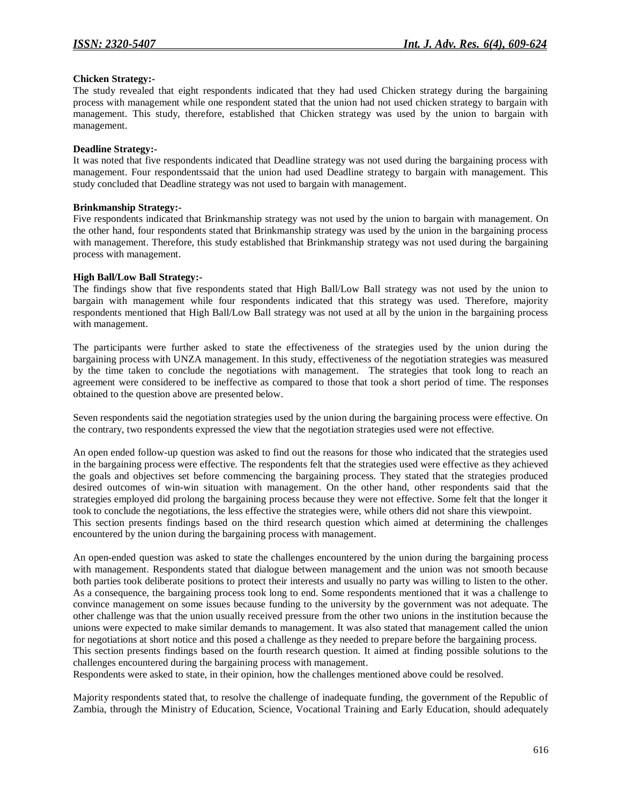## **Chicken Strategy:-**

The study revealed that eight respondents indicated that they had used Chicken strategy during the bargaining process with management while one respondent stated that the union had not used chicken strategy to bargain with management. This study, therefore, established that Chicken strategy was used by the union to bargain with management.

#### **Deadline Strategy:-**

It was noted that five respondents indicated that Deadline strategy was not used during the bargaining process with management. Four respondentssaid that the union had used Deadline strategy to bargain with management. This study concluded that Deadline strategy was not used to bargain with management.

### **Brinkmanship Strategy:-**

Five respondents indicated that Brinkmanship strategy was not used by the union to bargain with management. On the other hand, four respondents stated that Brinkmanship strategy was used by the union in the bargaining process with management. Therefore, this study established that Brinkmanship strategy was not used during the bargaining process with management.

#### **High Ball/Low Ball Strategy:-**

The findings show that five respondents stated that High Ball/Low Ball strategy was not used by the union to bargain with management while four respondents indicated that this strategy was used. Therefore, majority respondents mentioned that High Ball/Low Ball strategy was not used at all by the union in the bargaining process with management.

The participants were further asked to state the effectiveness of the strategies used by the union during the bargaining process with UNZA management. In this study, effectiveness of the negotiation strategies was measured by the time taken to conclude the negotiations with management. The strategies that took long to reach an agreement were considered to be ineffective as compared to those that took a short period of time. The responses obtained to the question above are presented below.

Seven respondents said the negotiation strategies used by the union during the bargaining process were effective. On the contrary, two respondents expressed the view that the negotiation strategies used were not effective.

An open ended follow-up question was asked to find out the reasons for those who indicated that the strategies used in the bargaining process were effective. The respondents felt that the strategies used were effective as they achieved the goals and objectives set before commencing the bargaining process. They stated that the strategies produced desired outcomes of win-win situation with management. On the other hand, other respondents said that the strategies employed did prolong the bargaining process because they were not effective. Some felt that the longer it took to conclude the negotiations, the less effective the strategies were, while others did not share this viewpoint. This section presents findings based on the third research question which aimed at determining the challenges encountered by the union during the bargaining process with management.

An open-ended question was asked to state the challenges encountered by the union during the bargaining process with management. Respondents stated that dialogue between management and the union was not smooth because both parties took deliberate positions to protect their interests and usually no party was willing to listen to the other. As a consequence, the bargaining process took long to end. Some respondents mentioned that it was a challenge to convince management on some issues because funding to the university by the government was not adequate. The other challenge was that the union usually received pressure from the other two unions in the institution because the unions were expected to make similar demands to management. It was also stated that management called the union for negotiations at short notice and this posed a challenge as they needed to prepare before the bargaining process. This section presents findings based on the fourth research question. It aimed at finding possible solutions to the challenges encountered during the bargaining process with management.

Respondents were asked to state, in their opinion, how the challenges mentioned above could be resolved.

Majority respondents stated that, to resolve the challenge of inadequate funding, the government of the Republic of Zambia, through the Ministry of Education, Science, Vocational Training and Early Education, should adequately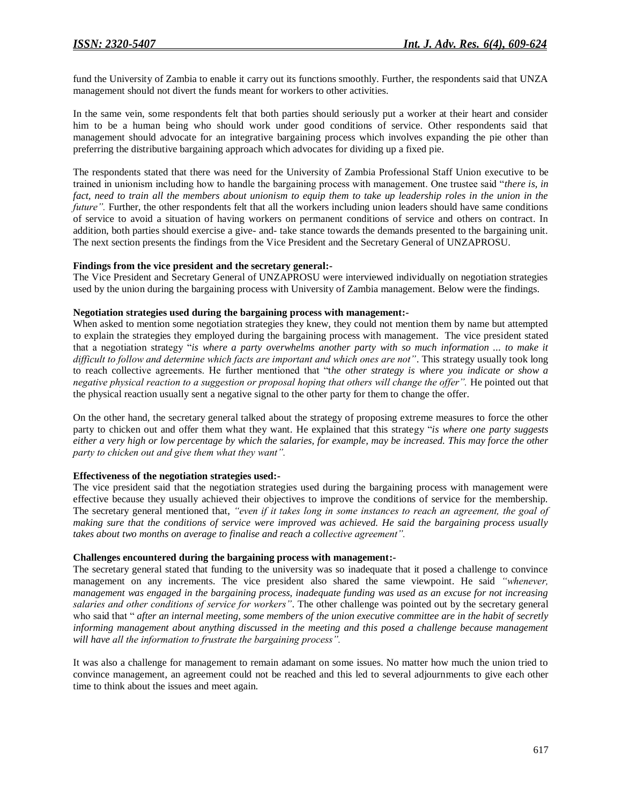fund the University of Zambia to enable it carry out its functions smoothly. Further, the respondents said that UNZA management should not divert the funds meant for workers to other activities.

In the same vein, some respondents felt that both parties should seriously put a worker at their heart and consider him to be a human being who should work under good conditions of service. Other respondents said that management should advocate for an integrative bargaining process which involves expanding the pie other than preferring the distributive bargaining approach which advocates for dividing up a fixed pie.

The respondents stated that there was need for the University of Zambia Professional Staff Union executive to be trained in unionism including how to handle the bargaining process with management. One trustee said "*there is, in fact, need to train all the members about unionism to equip them to take up leadership roles in the union in the future"*. Further, the other respondents felt that all the workers including union leaders should have same conditions of service to avoid a situation of having workers on permanent conditions of service and others on contract. In addition, both parties should exercise a give- and- take stance towards the demands presented to the bargaining unit. The next section presents the findings from the Vice President and the Secretary General of UNZAPROSU.

#### **Findings from the vice president and the secretary general:-**

The Vice President and Secretary General of UNZAPROSU were interviewed individually on negotiation strategies used by the union during the bargaining process with University of Zambia management. Below were the findings.

#### **Negotiation strategies used during the bargaining process with management:-**

When asked to mention some negotiation strategies they knew, they could not mention them by name but attempted to explain the strategies they employed during the bargaining process with management. The vice president stated that a negotiation strategy "*is where a party overwhelms another party with so much information ... to make it difficult to follow and determine which facts are important and which ones are not"*. This strategy usually took long to reach collective agreements. He further mentioned that "t*he other strategy is where you indicate or show a negative physical reaction to a suggestion or proposal hoping that others will change the offer".* He pointed out that the physical reaction usually sent a negative signal to the other party for them to change the offer.

On the other hand, the secretary general talked about the strategy of proposing extreme measures to force the other party to chicken out and offer them what they want. He explained that this strategy "*is where one party suggests either a very high or low percentage by which the salaries, for example, may be increased. This may force the other party to chicken out and give them what they want".*

## **Effectiveness of the negotiation strategies used:-**

The vice president said that the negotiation strategies used during the bargaining process with management were effective because they usually achieved their objectives to improve the conditions of service for the membership. The secretary general mentioned that, *"even if it takes long in some instances to reach an agreement, the goal of making sure that the conditions of service were improved was achieved. He said the bargaining process usually takes about two months on average to finalise and reach a collective agreement".*

#### **Challenges encountered during the bargaining process with management:-**

The secretary general stated that funding to the university was so inadequate that it posed a challenge to convince management on any increments. The vice president also shared the same viewpoint. He said *"whenever, management was engaged in the bargaining process, inadequate funding was used as an excuse for not increasing salaries and other conditions of service for workers"*. The other challenge was pointed out by the secretary general who said that " *after an internal meeting, some members of the union executive committee are in the habit of secretly informing management about anything discussed in the meeting and this posed a challenge because management will have all the information to frustrate the bargaining process".*

It was also a challenge for management to remain adamant on some issues. No matter how much the union tried to convince management, an agreement could not be reached and this led to several adjournments to give each other time to think about the issues and meet again.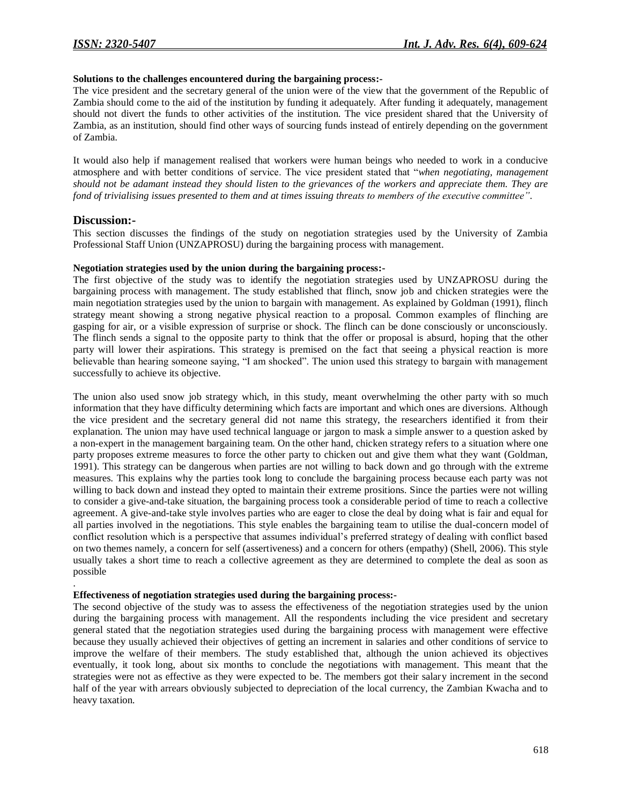## **Solutions to the challenges encountered during the bargaining process:-**

The vice president and the secretary general of the union were of the view that the government of the Republic of Zambia should come to the aid of the institution by funding it adequately. After funding it adequately, management should not divert the funds to other activities of the institution. The vice president shared that the University of Zambia, as an institution, should find other ways of sourcing funds instead of entirely depending on the government of Zambia.

It would also help if management realised that workers were human beings who needed to work in a conducive atmosphere and with better conditions of service. The vice president stated that "*when negotiating, management should not be adamant instead they should listen to the grievances of the workers and appreciate them. They are fond of trivialising issues presented to them and at times issuing threats to members of the executive committee"*.

## **Discussion:-**

.

This section discusses the findings of the study on negotiation strategies used by the University of Zambia Professional Staff Union (UNZAPROSU) during the bargaining process with management.

#### **Negotiation strategies used by the union during the bargaining process:-**

The first objective of the study was to identify the negotiation strategies used by UNZAPROSU during the bargaining process with management. The study established that flinch, snow job and chicken strategies were the main negotiation strategies used by the union to bargain with management. As explained by Goldman (1991), flinch strategy meant showing a strong negative physical reaction to a proposal. Common examples of flinching are gasping for air, or a visible expression of surprise or shock. The flinch can be done consciously or unconsciously. The flinch sends a signal to the opposite party to think that the offer or proposal is absurd, hoping that the other party will lower their aspirations. This strategy is premised on the fact that seeing a physical reaction is more believable than hearing someone saying, "I am shocked". The union used this strategy to bargain with management successfully to achieve its objective.

The union also used snow job strategy which, in this study, meant overwhelming the other party with so much information that they have difficulty determining which facts are important and which ones are diversions. Although the vice president and the secretary general did not name this strategy, the researchers identified it from their explanation. The union may have used technical language or jargon to mask a simple answer to a question asked by a non-expert in the management bargaining team. On the other hand, chicken strategy refers to a situation where one party proposes extreme measures to force the other party to chicken out and give them what they want (Goldman, 1991). This strategy can be dangerous when parties are not willing to back down and go through with the extreme measures. This explains why the parties took long to conclude the bargaining process because each party was not willing to back down and instead they opted to maintain their extreme prositions. Since the parties were not willing to consider a give-and-take situation, the bargaining process took a considerable period of time to reach a collective agreement. A give-and-take style involves parties who are eager to close the deal by doing what is fair and equal for all parties involved in the negotiations. This style enables the bargaining team to utilise the dual-concern model of conflict resolution which is a perspective that assumes individual's preferred strategy of dealing with conflict based on two themes namely, a concern for self (assertiveness) and a concern for others (empathy) (Shell, 2006). This style usually takes a short time to reach a collective agreement as they are determined to complete the deal as soon as possible

## **Effectiveness of negotiation strategies used during the bargaining process:-**

The second objective of the study was to assess the effectiveness of the negotiation strategies used by the union during the bargaining process with management. All the respondents including the vice president and secretary general stated that the negotiation strategies used during the bargaining process with management were effective because they usually achieved their objectives of getting an increment in salaries and other conditions of service to improve the welfare of their members. The study established that, although the union achieved its objectives eventually, it took long, about six months to conclude the negotiations with management. This meant that the strategies were not as effective as they were expected to be. The members got their salary increment in the second half of the year with arrears obviously subjected to depreciation of the local currency, the Zambian Kwacha and to heavy taxation.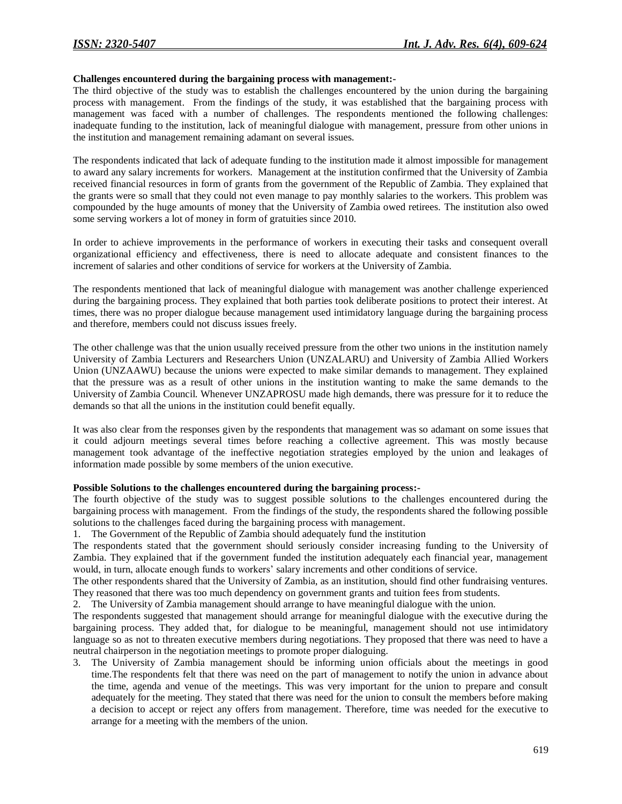## **Challenges encountered during the bargaining process with management:-**

The third objective of the study was to establish the challenges encountered by the union during the bargaining process with management. From the findings of the study, it was established that the bargaining process with management was faced with a number of challenges. The respondents mentioned the following challenges: inadequate funding to the institution, lack of meaningful dialogue with management, pressure from other unions in the institution and management remaining adamant on several issues.

The respondents indicated that lack of adequate funding to the institution made it almost impossible for management to award any salary increments for workers. Management at the institution confirmed that the University of Zambia received financial resources in form of grants from the government of the Republic of Zambia. They explained that the grants were so small that they could not even manage to pay monthly salaries to the workers. This problem was compounded by the huge amounts of money that the University of Zambia owed retirees. The institution also owed some serving workers a lot of money in form of gratuities since 2010.

In order to achieve improvements in the performance of workers in executing their tasks and consequent overall organizational efficiency and effectiveness, there is need to allocate adequate and consistent finances to the increment of salaries and other conditions of service for workers at the University of Zambia.

The respondents mentioned that lack of meaningful dialogue with management was another challenge experienced during the bargaining process. They explained that both parties took deliberate positions to protect their interest. At times, there was no proper dialogue because management used intimidatory language during the bargaining process and therefore, members could not discuss issues freely.

The other challenge was that the union usually received pressure from the other two unions in the institution namely University of Zambia Lecturers and Researchers Union (UNZALARU) and University of Zambia Allied Workers Union (UNZAAWU) because the unions were expected to make similar demands to management. They explained that the pressure was as a result of other unions in the institution wanting to make the same demands to the University of Zambia Council. Whenever UNZAPROSU made high demands, there was pressure for it to reduce the demands so that all the unions in the institution could benefit equally.

It was also clear from the responses given by the respondents that management was so adamant on some issues that it could adjourn meetings several times before reaching a collective agreement. This was mostly because management took advantage of the ineffective negotiation strategies employed by the union and leakages of information made possible by some members of the union executive.

#### **Possible Solutions to the challenges encountered during the bargaining process:-**

The fourth objective of the study was to suggest possible solutions to the challenges encountered during the bargaining process with management. From the findings of the study, the respondents shared the following possible solutions to the challenges faced during the bargaining process with management.

1. The Government of the Republic of Zambia should adequately fund the institution

The respondents stated that the government should seriously consider increasing funding to the University of Zambia. They explained that if the government funded the institution adequately each financial year, management would, in turn, allocate enough funds to workers' salary increments and other conditions of service.

The other respondents shared that the University of Zambia, as an institution, should find other fundraising ventures. They reasoned that there was too much dependency on government grants and tuition fees from students.

2. The University of Zambia management should arrange to have meaningful dialogue with the union.

The respondents suggested that management should arrange for meaningful dialogue with the executive during the bargaining process. They added that, for dialogue to be meaningful, management should not use intimidatory language so as not to threaten executive members during negotiations. They proposed that there was need to have a neutral chairperson in the negotiation meetings to promote proper dialoguing.

3. The University of Zambia management should be informing union officials about the meetings in good time.The respondents felt that there was need on the part of management to notify the union in advance about the time, agenda and venue of the meetings. This was very important for the union to prepare and consult adequately for the meeting. They stated that there was need for the union to consult the members before making a decision to accept or reject any offers from management. Therefore, time was needed for the executive to arrange for a meeting with the members of the union.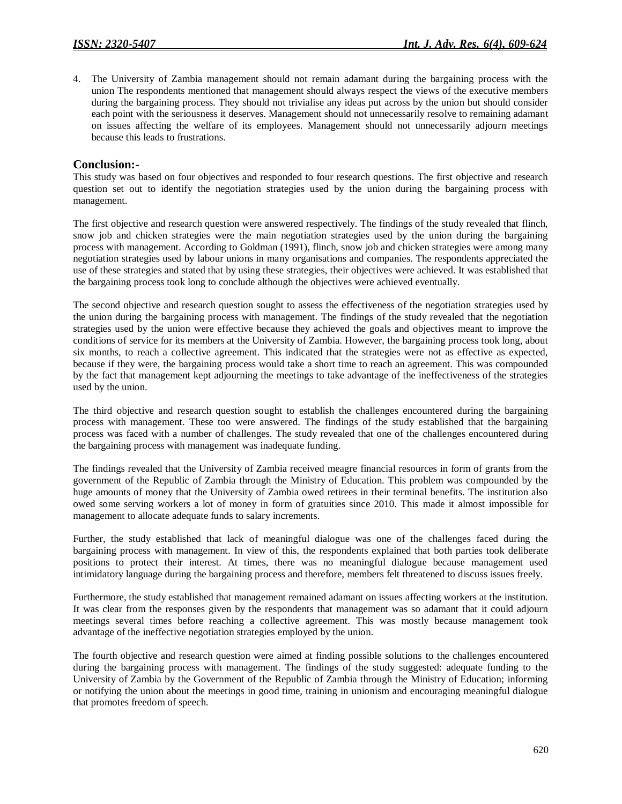4. The University of Zambia management should not remain adamant during the bargaining process with the union The respondents mentioned that management should always respect the views of the executive members during the bargaining process. They should not trivialise any ideas put across by the union but should consider each point with the seriousness it deserves. Management should not unnecessarily resolve to remaining adamant on issues affecting the welfare of its employees. Management should not unnecessarily adjourn meetings because this leads to frustrations.

## **Conclusion:-**

This study was based on four objectives and responded to four research questions. The first objective and research question set out to identify the negotiation strategies used by the union during the bargaining process with management.

The first objective and research question were answered respectively. The findings of the study revealed that flinch, snow job and chicken strategies were the main negotiation strategies used by the union during the bargaining process with management. According to Goldman (1991), flinch, snow job and chicken strategies were among many negotiation strategies used by labour unions in many organisations and companies. The respondents appreciated the use of these strategies and stated that by using these strategies, their objectives were achieved. It was established that the bargaining process took long to conclude although the objectives were achieved eventually.

The second objective and research question sought to assess the effectiveness of the negotiation strategies used by the union during the bargaining process with management. The findings of the study revealed that the negotiation strategies used by the union were effective because they achieved the goals and objectives meant to improve the conditions of service for its members at the University of Zambia. However, the bargaining process took long, about six months, to reach a collective agreement. This indicated that the strategies were not as effective as expected, because if they were, the bargaining process would take a short time to reach an agreement. This was compounded by the fact that management kept adjourning the meetings to take advantage of the ineffectiveness of the strategies used by the union.

The third objective and research question sought to establish the challenges encountered during the bargaining process with management. These too were answered. The findings of the study established that the bargaining process was faced with a number of challenges. The study revealed that one of the challenges encountered during the bargaining process with management was inadequate funding.

The findings revealed that the University of Zambia received meagre financial resources in form of grants from the government of the Republic of Zambia through the Ministry of Education. This problem was compounded by the huge amounts of money that the University of Zambia owed retirees in their terminal benefits. The institution also owed some serving workers a lot of money in form of gratuities since 2010. This made it almost impossible for management to allocate adequate funds to salary increments.

Further, the study established that lack of meaningful dialogue was one of the challenges faced during the bargaining process with management. In view of this, the respondents explained that both parties took deliberate positions to protect their interest. At times, there was no meaningful dialogue because management used intimidatory language during the bargaining process and therefore, members felt threatened to discuss issues freely.

Furthermore, the study established that management remained adamant on issues affecting workers at the institution. It was clear from the responses given by the respondents that management was so adamant that it could adjourn meetings several times before reaching a collective agreement. This was mostly because management took advantage of the ineffective negotiation strategies employed by the union.

The fourth objective and research question were aimed at finding possible solutions to the challenges encountered during the bargaining process with management. The findings of the study suggested: adequate funding to the University of Zambia by the Government of the Republic of Zambia through the Ministry of Education; informing or notifying the union about the meetings in good time, training in unionism and encouraging meaningful dialogue that promotes freedom of speech.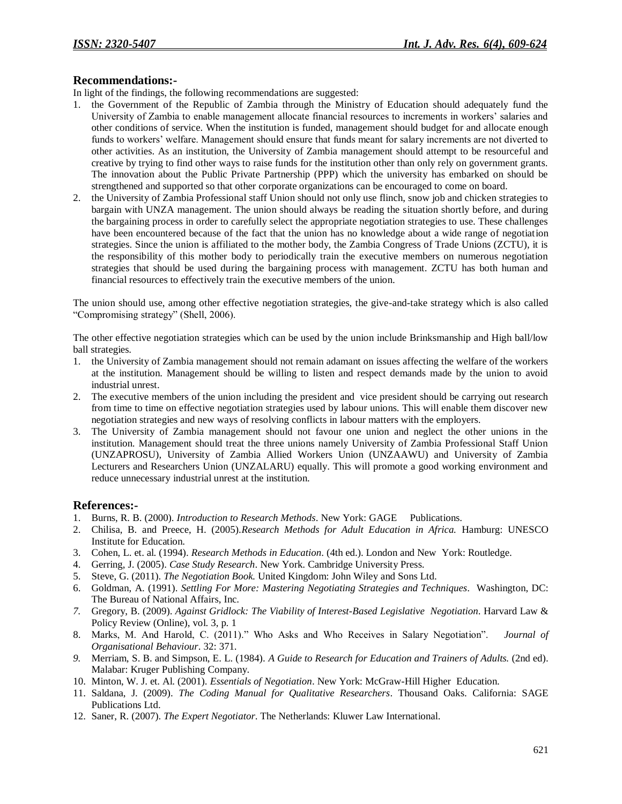## **Recommendations:-**

In light of the findings, the following recommendations are suggested:

- 1. the Government of the Republic of Zambia through the Ministry of Education should adequately fund the University of Zambia to enable management allocate financial resources to increments in workers' salaries and other conditions of service. When the institution is funded, management should budget for and allocate enough funds to workers' welfare. Management should ensure that funds meant for salary increments are not diverted to other activities. As an institution, the University of Zambia management should attempt to be resourceful and creative by trying to find other ways to raise funds for the institution other than only rely on government grants. The innovation about the Public Private Partnership (PPP) which the university has embarked on should be strengthened and supported so that other corporate organizations can be encouraged to come on board.
- 2. the University of Zambia Professional staff Union should not only use flinch, snow job and chicken strategies to bargain with UNZA management. The union should always be reading the situation shortly before, and during the bargaining process in order to carefully select the appropriate negotiation strategies to use. These challenges have been encountered because of the fact that the union has no knowledge about a wide range of negotiation strategies. Since the union is affiliated to the mother body, the Zambia Congress of Trade Unions (ZCTU), it is the responsibility of this mother body to periodically train the executive members on numerous negotiation strategies that should be used during the bargaining process with management. ZCTU has both human and financial resources to effectively train the executive members of the union.

The union should use, among other effective negotiation strategies, the give-and-take strategy which is also called "Compromising strategy" (Shell, 2006).

The other effective negotiation strategies which can be used by the union include Brinksmanship and High ball/low ball strategies.

- 1. the University of Zambia management should not remain adamant on issues affecting the welfare of the workers at the institution. Management should be willing to listen and respect demands made by the union to avoid industrial unrest.
- 2. The executive members of the union including the president and vice president should be carrying out research from time to time on effective negotiation strategies used by labour unions. This will enable them discover new negotiation strategies and new ways of resolving conflicts in labour matters with the employers.
- 3. The University of Zambia management should not favour one union and neglect the other unions in the institution. Management should treat the three unions namely University of Zambia Professional Staff Union (UNZAPROSU), University of Zambia Allied Workers Union (UNZAAWU) and University of Zambia Lecturers and Researchers Union (UNZALARU) equally. This will promote a good working environment and reduce unnecessary industrial unrest at the institution.

## **References:-**

- 1. Burns, R. B. (2000). *Introduction to Research Methods*. New York: GAGE Publications.
- 2. Chilisa, B. and Preece, H. (2005).*Research Methods for Adult Education in Africa.* Hamburg: UNESCO Institute for Education.
- 3. Cohen, L. et. al. (1994). *Research Methods in Education*. (4th ed.). London and New York: Routledge.
- 4. Gerring, J. (2005). *Case Study Research*. New York. Cambridge University Press.
- 5. Steve, G. (2011). *The Negotiation Book.* United Kingdom: John Wiley and Sons Ltd.
- 6. Goldman, A. (1991). *Settling For More: Mastering Negotiating Strategies and Techniques*. Washington, DC: The Bureau of National Affairs, Inc.
- *7.* Gregory, B. (2009). *Against Gridlock: The Viability of Interest-Based Legislative Negotiation*. Harvard Law & Policy Review (Online), vol. 3, p. 1
- 8. Marks, M. And Harold, C. (2011)." Who Asks and Who Receives in Salary Negotiation". *Journal of Organisational Behaviour*. 32: 371.
- *9.* Merriam, S. B. and Simpson, E. L. (1984). *A Guide to Research for Education and Trainers of Adults.* (2nd ed). Malabar: Kruger Publishing Company.
- 10. Minton, W. J. et. Al. (2001). *Essentials of Negotiation*. New York: McGraw-Hill Higher Education.
- 11. Saldana, J. (2009). *The Coding Manual for Qualitative Researchers*. Thousand Oaks. California: SAGE Publications Ltd.
- 12. Saner, R. (2007). *The Expert Negotiator*. The Netherlands: Kluwer Law International.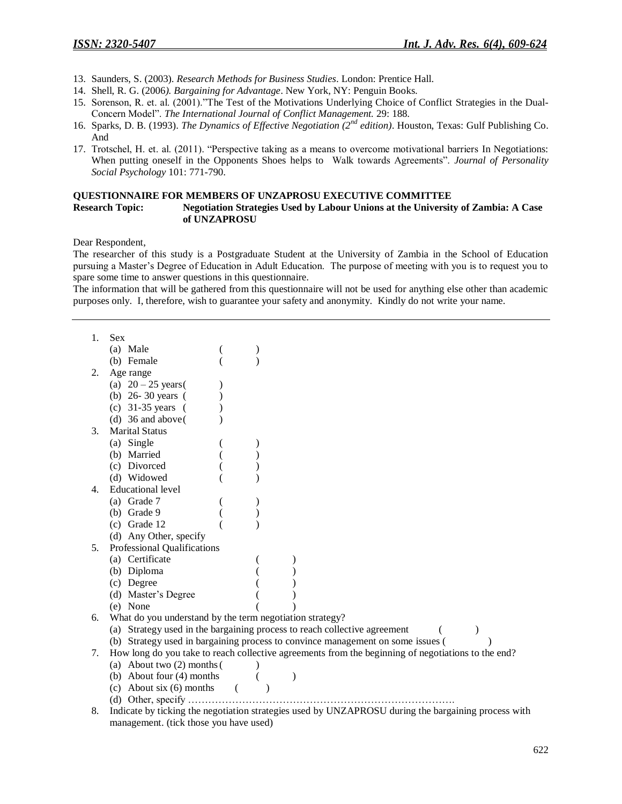- 13. Saunders, S. (2003). *Research Methods for Business Studies*. London: Prentice Hall.
- 14. Shell, R. G. (2006*). Bargaining for Advantage*. New York, NY: Penguin Books.
- 15. Sorenson, R. et. al. (2001)."The Test of the Motivations Underlying Choice of Conflict Strategies in the Dual-Concern Model". *The International Journal of Conflict Management.* 29: 188.
- 16. Sparks, D. B. (1993). *The Dynamics of Effective Negotiation (2nd edition)*. Houston, Texas: Gulf Publishing Co. And
- 17. Trotschel, H. et. al. (2011). "Perspective taking as a means to overcome motivational barriers In Negotiations: When putting oneself in the Opponents Shoes helps to Walk towards Agreements". *Journal of Personality Social Psychology* 101: 771-790.

## **QUESTIONNAIRE FOR MEMBERS OF UNZAPROSU EXECUTIVE COMMITTEE**

## **Research Topic: Negotiation Strategies Used by Labour Unions at the University of Zambia: A Case of UNZAPROSU**

Dear Respondent,

The researcher of this study is a Postgraduate Student at the University of Zambia in the School of Education pursuing a Master's Degree of Education in Adult Education. The purpose of meeting with you is to request you to spare some time to answer questions in this questionnaire.

The information that will be gathered from this questionnaire will not be used for anything else other than academic purposes only. I, therefore, wish to guarantee your safety and anonymity. Kindly do not write your name.

| 1. | <b>Sex</b>                                                                                         |  |  |  |  |
|----|----------------------------------------------------------------------------------------------------|--|--|--|--|
|    | (a) Male                                                                                           |  |  |  |  |
|    | (b) Female                                                                                         |  |  |  |  |
| 2. | Age range                                                                                          |  |  |  |  |
|    | (a) $20 - 25$ years (                                                                              |  |  |  |  |
|    | (b) $26 - 30$ years (                                                                              |  |  |  |  |
|    | (c) $31-35$ years (                                                                                |  |  |  |  |
|    | (d) $36$ and above (                                                                               |  |  |  |  |
| 3. | <b>Marital Status</b>                                                                              |  |  |  |  |
|    | (a) Single                                                                                         |  |  |  |  |
|    | (b) Married                                                                                        |  |  |  |  |
|    | (c) Divorced                                                                                       |  |  |  |  |
|    | (d) Widowed                                                                                        |  |  |  |  |
| 4. | <b>Educational level</b>                                                                           |  |  |  |  |
|    | (a) Grade 7                                                                                        |  |  |  |  |
|    | $(b)$ Grade 9                                                                                      |  |  |  |  |
|    | $(c)$ Grade 12                                                                                     |  |  |  |  |
|    | (d) Any Other, specify                                                                             |  |  |  |  |
| 5. | Professional Qualifications                                                                        |  |  |  |  |
|    | (a) Certificate                                                                                    |  |  |  |  |
|    | (b) Diploma                                                                                        |  |  |  |  |
|    | (c) Degree                                                                                         |  |  |  |  |
|    | (d) Master's Degree                                                                                |  |  |  |  |
|    | (e) None                                                                                           |  |  |  |  |
| 6. | What do you understand by the term negotiation strategy?                                           |  |  |  |  |
|    | (a) Strategy used in the bargaining process to reach collective agreement                          |  |  |  |  |
|    | (b) Strategy used in bargaining process to convince management on some issues (                    |  |  |  |  |
| 7. | How long do you take to reach collective agreements from the beginning of negotiations to the end? |  |  |  |  |
|    | (a) About two (2) months (                                                                         |  |  |  |  |
|    | (b) About four (4) months                                                                          |  |  |  |  |
|    | (c) About $\sin(6)$ months                                                                         |  |  |  |  |
|    |                                                                                                    |  |  |  |  |

<sup>8.</sup> Indicate by ticking the negotiation strategies used by UNZAPROSU during the bargaining process with management. (tick those you have used)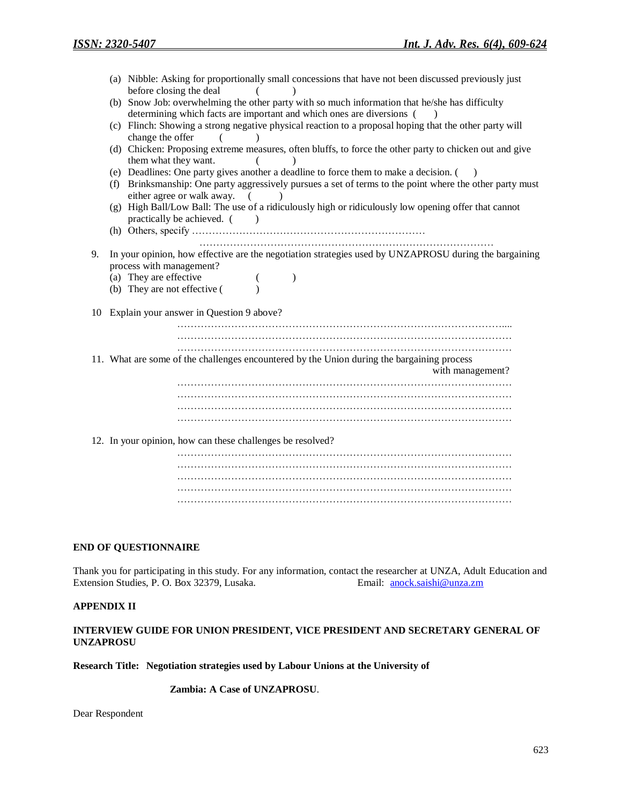|    |     | (a) Nibble: Asking for proportionally small concessions that have not been discussed previously just<br>before closing the deal |
|----|-----|---------------------------------------------------------------------------------------------------------------------------------|
|    |     | (b) Snow Job: overwhelming the other party with so much information that he/she has difficulty                                  |
|    |     |                                                                                                                                 |
|    |     | determining which facts are important and which ones are diversions (<br>$\rightarrow$                                          |
|    |     | (c) Flinch: Showing a strong negative physical reaction to a proposal hoping that the other party will                          |
|    |     | change the offer<br>$\sqrt{2}$                                                                                                  |
|    |     | (d) Chicken: Proposing extreme measures, often bluffs, to force the other party to chicken out and give                         |
|    |     | them what they want.                                                                                                            |
|    |     | (e) Deadlines: One party gives another a deadline to force them to make a decision. ()                                          |
|    | (f) | Brinksmanship: One party aggressively pursues a set of terms to the point where the other party must                            |
|    |     | either agree or walk away.<br>$\sqrt{2}$                                                                                        |
|    |     | (g) High Ball/Low Ball: The use of a ridiculously high or ridiculously low opening offer that cannot                            |
|    |     | practically be achieved. (<br>$\lambda$                                                                                         |
|    |     |                                                                                                                                 |
|    |     |                                                                                                                                 |
| 9. |     | In your opinion, how effective are the negotiation strategies used by UNZAPROSU during the bargaining                           |
|    |     | process with management?                                                                                                        |
|    |     | (a) They are effective                                                                                                          |
|    |     | (b) They are not effective (                                                                                                    |
|    |     |                                                                                                                                 |
|    |     | 10 Explain your answer in Question 9 above?                                                                                     |
|    |     |                                                                                                                                 |
|    |     |                                                                                                                                 |
|    |     |                                                                                                                                 |
|    |     | 11. What are some of the challenges encountered by the Union during the bargaining process                                      |
|    |     | with management?                                                                                                                |
|    |     |                                                                                                                                 |
|    |     |                                                                                                                                 |
|    |     |                                                                                                                                 |
|    |     |                                                                                                                                 |
|    |     |                                                                                                                                 |
|    |     | 12. In your opinion, how can these challenges be resolved?                                                                      |
|    |     |                                                                                                                                 |
|    |     |                                                                                                                                 |
|    |     |                                                                                                                                 |
|    |     |                                                                                                                                 |
|    |     |                                                                                                                                 |

## **END OF QUESTIONNAIRE**

Thank you for participating in this study. For any information, contact the researcher at UNZA, Adult Education and Extension Studies, P. O. Box 32379, Lusaka. Email: [anock.saishi@unza.zm](mailto:anock.saishi@unza.zm)

#### **APPENDIX II**

## **INTERVIEW GUIDE FOR UNION PRESIDENT, VICE PRESIDENT AND SECRETARY GENERAL OF UNZAPROSU**

**Research Title: Negotiation strategies used by Labour Unions at the University of**

 **Zambia: A Case of UNZAPROSU**.

Dear Respondent